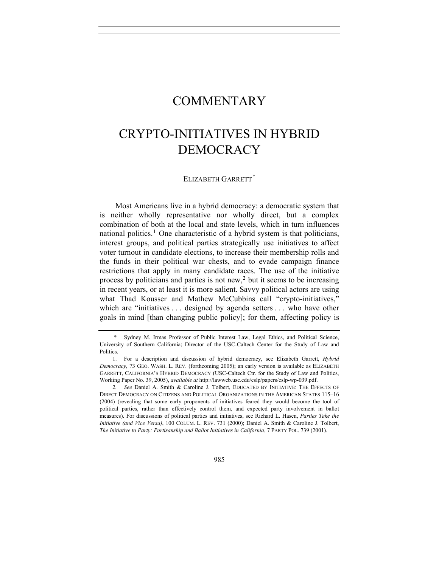## **COMMENTARY**

## CRYPTO-INITIATIVES IN HYBRID DEMOCRACY

## ELIZABETH GARRETT*[\\*](#page-0-0)*

Most Americans live in a hybrid democracy: a democratic system that is neither wholly representative nor wholly direct, but a complex combination of both at the local and state levels, which in turn influences national politics.<sup>[1](#page-0-1)</sup> One characteristic of a hybrid system is that politicians, interest groups, and political parties strategically use initiatives to affect voter turnout in candidate elections, to increase their membership rolls and the funds in their political war chests, and to evade campaign finance restrictions that apply in many candidate races. The use of the initiative process by politicians and parties is not new,<sup>[2](#page-0-2)</sup> but it seems to be increasing in recent years, or at least it is more salient. Savvy political actors are using what Thad Kousser and Mathew McCubbins call "crypto-initiatives," which are "initiatives . . . designed by agenda setters . . . who have other goals in mind [than changing public policy]; for them, affecting policy is

<span id="page-0-0"></span>Sydney M. Irmas Professor of Public Interest Law, Legal Ethics, and Political Science, University of Southern California; Director of the USC-Caltech Center for the Study of Law and Politics.

<span id="page-0-1"></span> <sup>1.</sup> For a description and discussion of hybrid democracy, see Elizabeth Garrett, *Hybrid Democracy*, 73 GEO. WASH. L. REV. (forthcoming 2005); an early version is available as ELIZABETH GARRETT, CALIFORNIA'S HYBRID DEMOCRACY (USC-Caltech Ctr. for the Study of Law and Politics, Working Paper No. 39, 2005), *available at* http://lawweb.usc.edu/cslp/papers/cslp-wp-039.pdf.

<span id="page-0-2"></span><sup>2</sup>*. See* Daniel A. Smith & Caroline J. Tolbert, EDUCATED BY INITIATIVE: THE EFFECTS OF DIRECT DEMOCRACY ON CITIZENS AND POLITICAL ORGANIZATIONS IN THE AMERICAN STATES 115–16 (2004) (revealing that some early proponents of initiatives feared they would become the tool of political parties, rather than effectively control them, and expected party involvement in ballot measures). For discussions of political parties and initiatives, see Richard L. Hasen, *Parties Take the Initiative (and Vice Versa)*, 100 COLUM. L. REV. 731 (2000); Daniel A. Smith & Caroline J. Tolbert, *The Initiative to Party: Partisanship and Ballot Initiatives in California*, 7 PARTY POL. 739 (2001).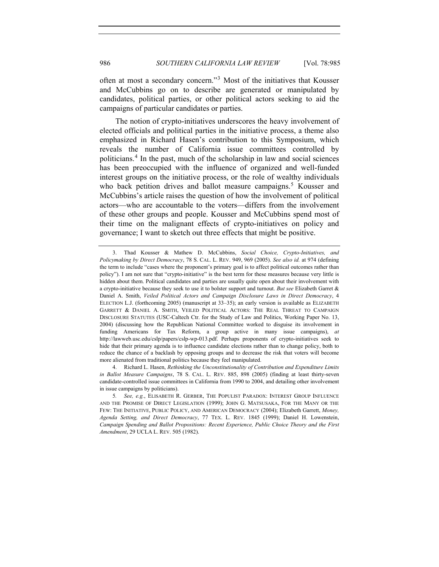often at most a secondary concern."[3](#page-1-0) Most of the initiatives that Kousser and McCubbins go on to describe are generated or manipulated by candidates, political parties, or other political actors seeking to aid the campaigns of particular candidates or parties.

The notion of crypto-initiatives underscores the heavy involvement of elected officials and political parties in the initiative process, a theme also emphasized in Richard Hasen's contribution to this Symposium, which reveals the number of California issue committees controlled by politicians.[4](#page-1-1) In the past, much of the scholarship in law and social sciences has been preoccupied with the influence of organized and well-funded interest groups on the initiative process, or the role of wealthy individuals who back petition drives and ballot measure campaigns.<sup>[5](#page-1-2)</sup> Kousser and McCubbins's article raises the question of how the involvement of political actors—who are accountable to the voters—differs from the involvement of these other groups and people. Kousser and McCubbins spend most of their time on the malignant effects of crypto-initiatives on policy and governance; I want to sketch out three effects that might be positive.

<span id="page-1-1"></span> 4. Richard L. Hasen, *Rethinking the Unconstitutionality of Contribution and Expenditure Limits in Ballot Measure Campaigns*, 78 S. CAL. L. REV. 885, 898 (2005) (finding at least thirty-seven candidate-controlled issue committees in California from 1990 to 2004, and detailing other involvement in issue campaigns by politicians).

<span id="page-1-0"></span> <sup>3.</sup> Thad Kousser & Mathew D. McCubbins, *Social Choice, Crypto-Initiatives, and Policymaking by Direct Democracy*, 78 S. CAL. L. REV. 949, 969 (2005). *See also id.* at 974 (defining the term to include "cases where the proponent's primary goal is to affect political outcomes rather than policy"). I am not sure that "crypto-initiative" is the best term for these measures because very little is hidden about them. Political candidates and parties are usually quite open about their involvement with a crypto-initiative because they seek to use it to bolster support and turnout. *But see* Elizabeth Garret & Daniel A. Smith, *Veiled Political Actors and Campaign Disclosure Laws in Direct Democracy*, 4 ELECTION L.J. (forthcoming 2005) (manuscript at 33–35); an early version is available as ELIZABETH GARRETT & DANIEL A. SMITH, VEILED POLITICAL ACTORS: THE REAL THREAT TO CAMPAIGN DISCLOSURE STATUTES (USC-Caltech Ctr. for the Study of Law and Politics, Working Paper No. 13, 2004) (discussing how the Republican National Committee worked to disguise its involvement in funding Americans for Tax Reform, a group active in many issue campaigns), *at* http://lawweb.usc.edu/cslp/papers/cslp-wp-013.pdf. Perhaps proponents of crypto-initiatives seek to hide that their primary agenda is to influence candidate elections rather than to change policy, both to reduce the chance of a backlash by opposing groups and to decrease the risk that voters will become more alienated from traditional politics because they feel manipulated.

<span id="page-1-2"></span><sup>5</sup>*. See, e.g.*, ELISABETH R. GERBER, THE POPULIST PARADOX: INTEREST GROUP INFLUENCE AND THE PROMISE OF DIRECT LEGISLATION (1999); JOHN G. MATSUSAKA, FOR THE MANY OR THE FEW: THE INITIATIVE, PUBLIC POLICY, AND AMERICAN DEMOCRACY (2004); Elizabeth Garrett, *Money, Agenda Setting, and Direct Democracy*, 77 TEX. L. REV. 1845 (1999); Daniel H. Lowenstein, *Campaign Spending and Ballot Propositions: Recent Experience, Public Choice Theory and the First Amendment*, 29 UCLA L. REV. 505 (1982).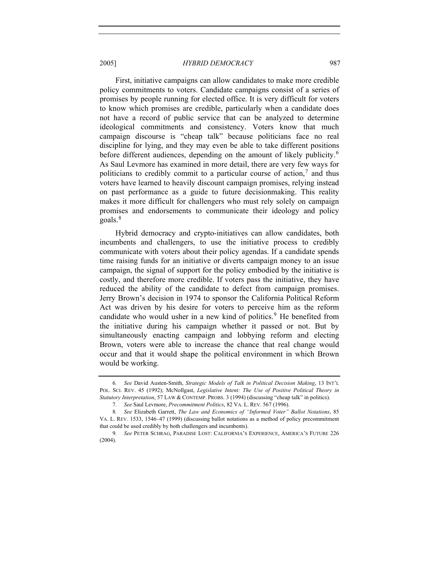First, initiative campaigns can allow candidates to make more credible policy commitments to voters. Candidate campaigns consist of a series of promises by people running for elected office. It is very difficult for voters to know which promises are credible, particularly when a candidate does not have a record of public service that can be analyzed to determine ideological commitments and consistency. Voters know that much campaign discourse is "cheap talk" because politicians face no real discipline for lying, and they may even be able to take different positions before different audiences, depending on the amount of likely publicity.<sup>[6](#page-2-0)</sup> As Saul Levmore has examined in more detail, there are very few ways for politicians to credibly commit to a particular course of action,<sup>[7](#page-2-1)</sup> and thus voters have learned to heavily discount campaign promises, relying instead on past performance as a guide to future decisionmaking. This reality makes it more difficult for challengers who must rely solely on campaign promises and endorsements to communicate their ideology and policy goals.<sup>[8](#page-2-2)</sup>

Hybrid democracy and crypto-initiatives can allow candidates, both incumbents and challengers, to use the initiative process to credibly communicate with voters about their policy agendas. If a candidate spends time raising funds for an initiative or diverts campaign money to an issue campaign, the signal of support for the policy embodied by the initiative is costly, and therefore more credible. If voters pass the initiative, they have reduced the ability of the candidate to defect from campaign promises. Jerry Brown's decision in 1974 to sponsor the California Political Reform Act was driven by his desire for voters to perceive him as the reform candidate who would usher in a new kind of politics.<sup>[9](#page-2-3)</sup> He benefited from the initiative during his campaign whether it passed or not. But by simultaneously enacting campaign and lobbying reform and electing Brown, voters were able to increase the chance that real change would occur and that it would shape the political environment in which Brown would be working.

<span id="page-2-0"></span><sup>6</sup>*. See* David Austen-Smith, *Strategic Models of Talk in Political Decision Making*, 13 INT'L POL. SCI. REV. 45 (1992); McNollgast, *Legislative Intent: The Use of Positive Political Theory in Statutory Interpretation*, 57 LAW & CONTEMP. PROBS. 3 (1994) (discussing "cheap talk" in politics).

<sup>7</sup>*. See* Saul Levmore, *Precommitment Politics*, 82 VA. L. REV. 567 (1996).

<span id="page-2-2"></span><span id="page-2-1"></span><sup>8</sup>*. See* Elizabeth Garrett, *The Law and Economics of "Informed Voter" Ballot Notations*, 85 VA. L. REV. 1533, 1546–47 (1999) (discussing ballot notations as a method of policy precommitment that could be used credibly by both challengers and incumbents).

<span id="page-2-3"></span><sup>9</sup>*. See* PETER SCHRAG, PARADISE LOST: CALIFORNIA'S EXPERIENCE, AMERICA'S FUTURE 226 (2004).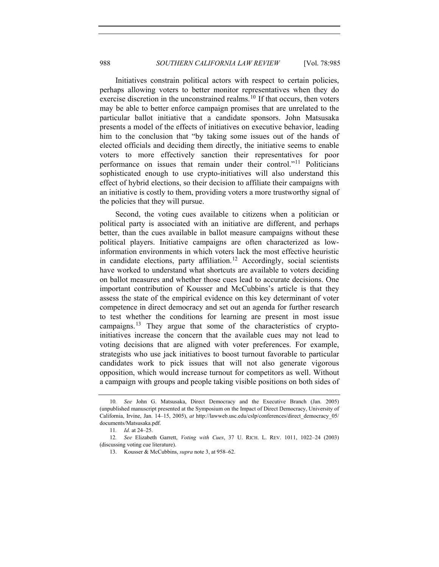Initiatives constrain political actors with respect to certain policies, perhaps allowing voters to better monitor representatives when they do exercise discretion in the unconstrained realms.<sup>[10](#page-3-0)</sup> If that occurs, then voters may be able to better enforce campaign promises that are unrelated to the particular ballot initiative that a candidate sponsors. John Matsusaka presents a model of the effects of initiatives on executive behavior, leading him to the conclusion that "by taking some issues out of the hands of elected officials and deciding them directly, the initiative seems to enable voters to more effectively sanction their representatives for poor performance on issues that remain under their control."[11](#page-3-1) Politicians sophisticated enough to use crypto-initiatives will also understand this effect of hybrid elections, so their decision to affiliate their campaigns with an initiative is costly to them, providing voters a more trustworthy signal of the policies that they will pursue.

Second, the voting cues available to citizens when a politician or political party is associated with an initiative are different, and perhaps better, than the cues available in ballot measure campaigns without these political players. Initiative campaigns are often characterized as lowinformation environments in which voters lack the most effective heuristic in candidate elections, party affiliation.<sup>[12](#page-3-2)</sup> Accordingly, social scientists have worked to understand what shortcuts are available to voters deciding on ballot measures and whether those cues lead to accurate decisions. One important contribution of Kousser and McCubbins's article is that they assess the state of the empirical evidence on this key determinant of voter competence in direct democracy and set out an agenda for further research to test whether the conditions for learning are present in most issue campaigns.[13](#page-3-3) They argue that some of the characteristics of cryptoinitiatives increase the concern that the available cues may not lead to voting decisions that are aligned with voter preferences. For example, strategists who use jack initiatives to boost turnout favorable to particular candidates work to pick issues that will not also generate vigorous opposition, which would increase turnout for competitors as well. Without a campaign with groups and people taking visible positions on both sides of

<span id="page-3-0"></span><sup>10</sup>*. See* John G. Matsusaka, Direct Democracy and the Executive Branch (Jan. 2005) (unpublished manuscript presented at the Symposium on the Impact of Direct Democracy, University of California, Irvine, Jan. 14–15, 2005), *at* http://lawweb.usc.edu/cslp/conferences/direct\_democracy\_05/ documents/Matsusaka.pdf.

<sup>11</sup>*. Id.* at 24–25.

<span id="page-3-3"></span><span id="page-3-2"></span><span id="page-3-1"></span><sup>12</sup>*. See* Elizabeth Garrett, *Voting with Cues*, 37 U. RICH. L. REV. 1011, 1022–24 (2003) (discussing voting cue literature).

 <sup>13.</sup> Kousser & McCubbins, *supra* note 3, at 958–62.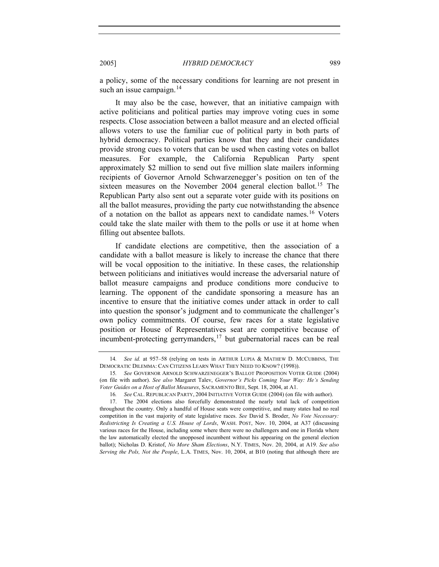a policy, some of the necessary conditions for learning are not present in such an issue campaign. $14$ 

It may also be the case, however, that an initiative campaign with active politicians and political parties may improve voting cues in some respects. Close association between a ballot measure and an elected official allows voters to use the familiar cue of political party in both parts of hybrid democracy. Political parties know that they and their candidates provide strong cues to voters that can be used when casting votes on ballot measures. For example, the California Republican Party spent approximately \$2 million to send out five million slate mailers informing recipients of Governor Arnold Schwarzenegger's position on ten of the sixteen measures on the November 2004 general election ballot.<sup>[15](#page-4-1)</sup> The Republican Party also sent out a separate voter guide with its positions on all the ballot measures, providing the party cue notwithstanding the absence of a notation on the ballot as appears next to candidate names.<sup>[16](#page-4-2)</sup> Voters could take the slate mailer with them to the polls or use it at home when filling out absentee ballots.

If candidate elections are competitive, then the association of a candidate with a ballot measure is likely to increase the chance that there will be vocal opposition to the initiative. In these cases, the relationship between politicians and initiatives would increase the adversarial nature of ballot measure campaigns and produce conditions more conducive to learning. The opponent of the candidate sponsoring a measure has an incentive to ensure that the initiative comes under attack in order to call into question the sponsor's judgment and to communicate the challenger's own policy commitments. Of course, few races for a state legislative position or House of Representatives seat are competitive because of incumbent-protecting gerrymanders, $17$  but gubernatorial races can be real

<span id="page-4-0"></span><sup>14</sup>*. See id.* at 957–58 (relying on tests in ARTHUR LUPIA & MATHEW D. MCCUBBINS, THE DEMOCRATIC DILEMMA: CAN CITIZENS LEARN WHAT THEY NEED TO KNOW? (1998)).

<span id="page-4-1"></span><sup>15</sup>*. See* GOVERNOR ARNOLD SCHWARZENEGGER'S BALLOT PROPOSITION VOTER GUIDE (2004) (on file with author). *See also* Margaret Talev, *Governor's Picks Coming Your Way: He's Sending Voter Guides on a Host of Ballot Measures*, SACRAMENTO BEE, Sept. 18, 2004, at A1.

<sup>16</sup>*. See* CAL. REPUBLICAN PARTY, 2004 INITIATIVE VOTER GUIDE (2004) (on file with author).

<span id="page-4-3"></span><span id="page-4-2"></span> <sup>17.</sup> The 2004 elections also forcefully demonstrated the nearly total lack of competition throughout the country. Only a handful of House seats were competitive, and many states had no real competition in the vast majority of state legislative races. *See* David S. Broder, *No Vote Necessary: Redistricting Is Creating a U.S. House of Lords*, WASH. POST, Nov. 10, 2004, at A37 (discussing various races for the House, including some where there were no challengers and one in Florida where the law automatically elected the unopposed incumbent without his appearing on the general election ballot); Nicholas D. Kristof, *No More Sham Elections*, N.Y. TIMES, Nov. 20, 2004, at A19. *See also Serving the Pols, Not the People*, L.A. TIMES, Nov. 10, 2004, at B10 (noting that although there are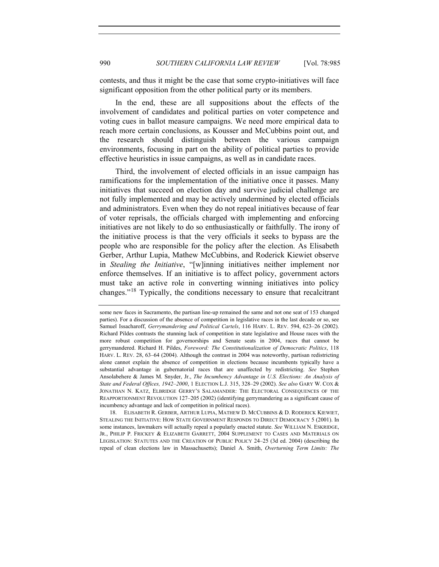contests, and thus it might be the case that some crypto-initiatives will face significant opposition from the other political party or its members.

In the end, these are all suppositions about the effects of the involvement of candidates and political parties on voter competence and voting cues in ballot measure campaigns. We need more empirical data to reach more certain conclusions, as Kousser and McCubbins point out, and the research should distinguish between the various campaign environments, focusing in part on the ability of political parties to provide effective heuristics in issue campaigns, as well as in candidate races.

Third, the involvement of elected officials in an issue campaign has ramifications for the implementation of the initiative once it passes. Many initiatives that succeed on election day and survive judicial challenge are not fully implemented and may be actively undermined by elected officials and administrators. Even when they do not repeal initiatives because of fear of voter reprisals, the officials charged with implementing and enforcing initiatives are not likely to do so enthusiastically or faithfully. The irony of the initiative process is that the very officials it seeks to bypass are the people who are responsible for the policy after the election. As Elisabeth Gerber, Arthur Lupia, Mathew McCubbins, and Roderick Kiewiet observe in *Stealing the Initiative*, "[w]inning initiatives neither implement nor enforce themselves. If an initiative is to affect policy, government actors must take an active role in converting winning initiatives into policy changes."[18](#page-5-0) Typically, the conditions necessary to ensure that recalcitrant

<span id="page-5-0"></span> 18. ELISABETH R. GERBER, ARTHUR LUPIA, MATHEW D. MCCUBBINS & D. RODERICK KIEWIET, STEALING THE INITIATIVE: HOW STATE GOVERNMENT RESPONDS TO DIRECT DEMOCRACY 5 (2001). In some instances, lawmakers will actually repeal a popularly enacted statute. *See* WILLIAM N. ESKRIDGE, JR., PHILIP P. FRICKEY & ELIZABETH GARRETT, 2004 SUPPLEMENT TO CASES AND MATERIALS ON LEGISLATION: STATUTES AND THE CREATION OF PUBLIC POLICY 24–25 (3d ed. 2004) (describing the repeal of clean elections law in Massachusetts); Daniel A. Smith, *Overturning Term Limits: The* 

some new faces in Sacramento, the partisan line-up remained the same and not one seat of 153 changed parties). For a discussion of the absence of competition in legislative races in the last decade or so, see Samuel Issacharoff, *Gerrymandering and Political Cartels*, 116 HARV. L. REV. 594, 623–26 (2002). Richard Pildes contrasts the stunning lack of competition in state legislative and House races with the more robust competition for governorships and Senate seats in 2004, races that cannot be gerrymandered. Richard H. Pildes, *Foreword: The Constitutionalization of Democratic Politics*, 118 HARV. L. REV. 28, 63–64 (2004). Although the contrast in 2004 was noteworthy, partisan redistricting alone cannot explain the absence of competition in elections because incumbents typically have a substantial advantage in gubernatorial races that are unaffected by redistricting. *See* Stephen Ansolabehere & James M. Snyder, Jr., *The Incumbency Advantage in U.S. Elections: An Analysis of State and Federal Offices, 1942–2000*, 1 ELECTION L.J. 315, 328–29 (2002). *See also* GARY W. COX & JONATHAN N. KATZ, ELBRIDGE GERRY'S SALAMANDER: THE ELECTORAL CONSEQUENCES OF THE REAPPORTIONMENT REVOLUTION 127–205 (2002) (identifying gerrymandering as a significant cause of incumbency advantage and lack of competition in political races).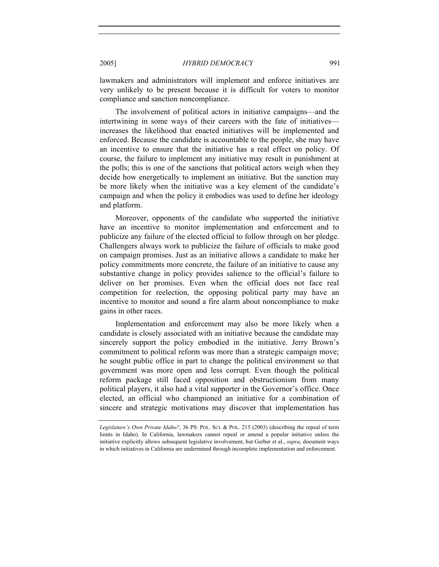lawmakers and administrators will implement and enforce initiatives are very unlikely to be present because it is difficult for voters to monitor compliance and sanction noncompliance.

The involvement of political actors in initiative campaigns—and the intertwining in some ways of their careers with the fate of initiatives increases the likelihood that enacted initiatives will be implemented and enforced. Because the candidate is accountable to the people, she may have an incentive to ensure that the initiative has a real effect on policy. Of course, the failure to implement any initiative may result in punishment at the polls; this is one of the sanctions that political actors weigh when they decide how energetically to implement an initiative. But the sanction may be more likely when the initiative was a key element of the candidate's campaign and when the policy it embodies was used to define her ideology and platform.

Moreover, opponents of the candidate who supported the initiative have an incentive to monitor implementation and enforcement and to publicize any failure of the elected official to follow through on her pledge. Challengers always work to publicize the failure of officials to make good on campaign promises. Just as an initiative allows a candidate to make her policy commitments more concrete, the failure of an initiative to cause any substantive change in policy provides salience to the official's failure to deliver on her promises. Even when the official does not face real competition for reelection, the opposing political party may have an incentive to monitor and sound a fire alarm about noncompliance to make gains in other races.

Implementation and enforcement may also be more likely when a candidate is closely associated with an initiative because the candidate may sincerely support the policy embodied in the initiative. Jerry Brown's commitment to political reform was more than a strategic campaign move; he sought public office in part to change the political environment so that government was more open and less corrupt. Even though the political reform package still faced opposition and obstructionism from many political players, it also had a vital supporter in the Governor's office. Once elected, an official who championed an initiative for a combination of sincere and strategic motivations may discover that implementation has

*Legislature's Own Private Idaho?*, 36 PS: POL. SCI. & POL. 215 (2003) (describing the repeal of term limits in Idaho). In California, lawmakers cannot repeal or amend a popular initiative unless the initiative explicitly allows subsequent legislative involvement, but Gerber et al., *supra*, document ways in which initiatives in California are undermined through incomplete implementation and enforcement.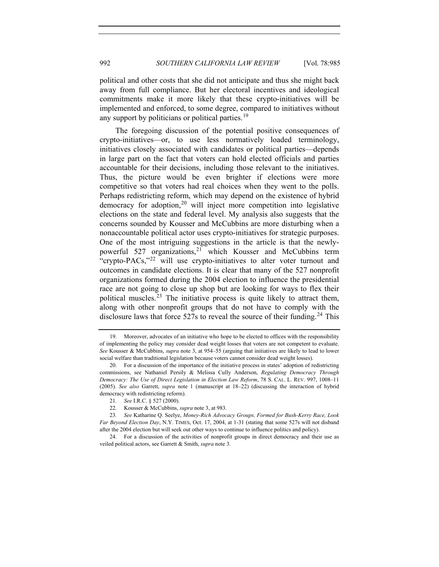political and other costs that she did not anticipate and thus she might back away from full compliance. But her electoral incentives and ideological commitments make it more likely that these crypto-initiatives will be implemented and enforced, to some degree, compared to initiatives without any support by politicians or political parties.<sup>[19](#page-7-0)</sup>

The foregoing discussion of the potential positive consequences of crypto-initiatives—or, to use less normatively loaded terminology, initiatives closely associated with candidates or political parties—depends in large part on the fact that voters can hold elected officials and parties accountable for their decisions, including those relevant to the initiatives. Thus, the picture would be even brighter if elections were more competitive so that voters had real choices when they went to the polls. Perhaps redistricting reform, which may depend on the existence of hybrid democracy for adoption,<sup>[20](#page-7-1)</sup> will inject more competition into legislative elections on the state and federal level. My analysis also suggests that the concerns sounded by Kousser and McCubbins are more disturbing when a nonaccountable political actor uses crypto-initiatives for strategic purposes. One of the most intriguing suggestions in the article is that the newly-powerful 527 organizations,<sup>[21](#page-7-2)</sup> which Kousser and McCubbins term "crypto-PACs,"<sup>[22](#page-7-3)</sup> will use crypto-initiatives to alter voter turnout and outcomes in candidate elections. It is clear that many of the 527 nonprofit organizations formed during the 2004 election to influence the presidential race are not going to close up shop but are looking for ways to flex their political muscles.<sup>[23](#page-7-4)</sup> The initiative process is quite likely to attract them, along with other nonprofit groups that do not have to comply with the disclosure laws that force  $527s$  to reveal the source of their funding.<sup>[24](#page-7-5)</sup> This

<span id="page-7-0"></span> <sup>19.</sup> Moreover, advocates of an initiative who hope to be elected to offices with the responsibility of implementing the policy may consider dead weight losses that voters are not competent to evaluate. *See* Kousser & McCubbins, *supra* note 3, at 954–55 (arguing that initiatives are likely to lead to lower social welfare than traditional legislation because voters cannot consider dead weight losses).

<span id="page-7-1"></span> <sup>20.</sup> For a discussion of the importance of the initiative process in states' adoption of redistricting commissions, see Nathaniel Persily & Melissa Cully Anderson, *Regulating Democracy Through Democracy: The Use of Direct Legislation in Election Law Reform*, 78 S. CAL. L. REV. 997, 1008–11 (2005). *See also* Garrett, *supra* note 1 (manuscript at 18–22) (discussing the interaction of hybrid democracy with redistricting reform).

<sup>21</sup>*. See* I.R.C. § 527 (2000).

 <sup>22.</sup> Kousser & McCubbins, *supra* note 3, at 983.

<span id="page-7-4"></span><span id="page-7-3"></span><span id="page-7-2"></span><sup>23</sup>*. See* Katharine Q. Seelye, *Money-Rich Advocacy Groups, Formed for Bush-Kerry Race, Look Far Beyond Election Day*, N.Y. TIMES, Oct. 17, 2004, at 1-31 (stating that some 527s will not disband after the 2004 election but will seek out other ways to continue to influence politics and policy).

<span id="page-7-5"></span> <sup>24.</sup> For a discussion of the activities of nonprofit groups in direct democracy and their use as veiled political actors, see Garrett & Smith, *supra* note 3.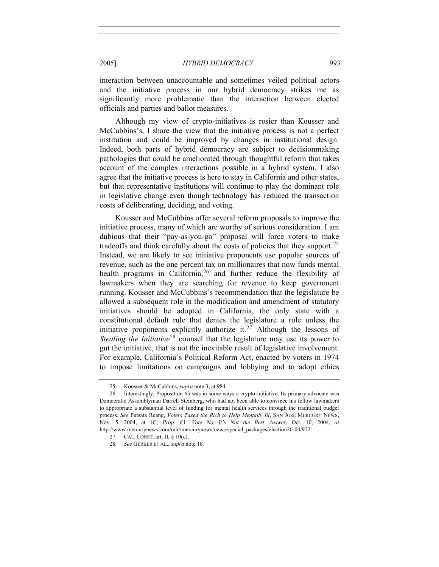interaction between unaccountable and sometimes veiled political actors and the initiative process in our hybrid democracy strikes me as significantly more problematic than the interaction between elected officials and parties and ballot measures.

Although my view of crypto-initiatives is rosier than Kousser and McCubbins's, I share the view that the initiative process is not a perfect institution and could be improved by changes in institutional design. Indeed, both parts of hybrid democracy are subject to decisionmaking pathologies that could be ameliorated through thoughtful reform that takes account of the complex interactions possible in a hybrid system. I also agree that the initiative process is here to stay in California and other states, but that representative institutions will continue to play the dominant role in legislative change even though technology has reduced the transaction costs of deliberating, deciding, and voting.

Kousser and McCubbins offer several reform proposals to improve the initiative process, many of which are worthy of serious consideration. I am dubious that their "pay-as-you-go" proposal will force voters to make tradeoffs and think carefully about the costs of policies that they support.<sup>[25](#page-8-0)</sup> Instead, we are likely to see initiative proponents use popular sources of revenue, such as the one percent tax on millionaires that now funds mental health programs in California,  $26$  and further reduce the flexibility of lawmakers when they are searching for revenue to keep government running. Kousser and McCubbins's recommendation that the legislature be allowed a subsequent role in the modification and amendment of statutory initiatives should be adopted in California, the only state with a constitutional default rule that denies the legislature a role unless the initiative proponents explicitly authorize it.<sup>[27](#page-8-2)</sup> Although the lessons of *Stealing the Initiative*<sup>[28](#page-8-3)</sup> counsel that the legislature may use its power to gut the initiative, that is not the inevitable result of legislative involvement. For example, California's Political Reform Act, enacted by voters in 1974 to impose limitations on campaigns and lobbying and to adopt ethics

 <sup>25.</sup> Kousser & McCubbins, *supra* note 3, at 984.

<span id="page-8-2"></span><span id="page-8-1"></span><span id="page-8-0"></span> <sup>26.</sup> Interestingly, Proposition 63 was in some ways a crypto-initiative. Its primary advocate was Democratic Assemblyman Darrell Steinberg, who had not been able to convince his fellow lawmakers to appropriate a substantial level of funding for mental health services through the traditional budget process. *See* Putsata Reang, *Voters Taxed the Rich to Help Mentally Ill*, SAN JOSE MERCURY NEWS, Nov. 5, 2004, at 1C; *Prop. 63: Vote No—It's Not the Best Answer*, Oct. 10, 2004, *at* http://www.mercurynews.com/mld/mercurynews/news/special\_packages/election20-04/972.

<span id="page-8-3"></span> <sup>27.</sup> CAL. CONST. art. II, § 10(c).

<sup>28</sup>*. See* GERBER ET AL., *supra* note 18.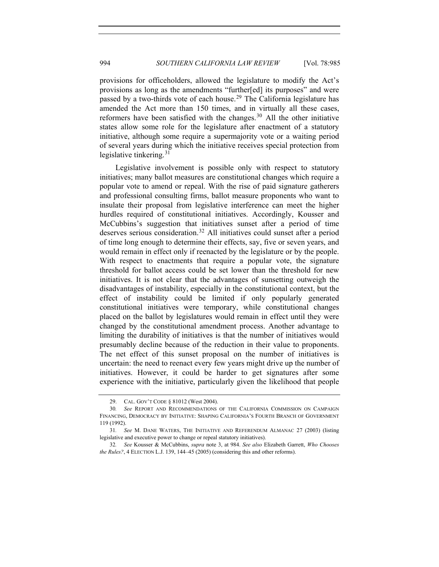provisions for officeholders, allowed the legislature to modify the Act's provisions as long as the amendments "further[ed] its purposes" and were passed by a two-thirds vote of each house.<sup>[29](#page-9-0)</sup> The California legislature has amended the Act more than 150 times, and in virtually all these cases, reformers have been satisfied with the changes.<sup>[30](#page-9-1)</sup> All the other initiative states allow some role for the legislature after enactment of a statutory initiative, although some require a supermajority vote or a waiting period of several years during which the initiative receives special protection from legislative tinkering.<sup>[31](#page-9-2)</sup>

Legislative involvement is possible only with respect to statutory initiatives; many ballot measures are constitutional changes which require a popular vote to amend or repeal. With the rise of paid signature gatherers and professional consulting firms, ballot measure proponents who want to insulate their proposal from legislative interference can meet the higher hurdles required of constitutional initiatives. Accordingly, Kousser and McCubbins's suggestion that initiatives sunset after a period of time deserves serious consideration.[32](#page-9-3) All initiatives could sunset after a period of time long enough to determine their effects, say, five or seven years, and would remain in effect only if reenacted by the legislature or by the people. With respect to enactments that require a popular vote, the signature threshold for ballot access could be set lower than the threshold for new initiatives. It is not clear that the advantages of sunsetting outweigh the disadvantages of instability, especially in the constitutional context, but the effect of instability could be limited if only popularly generated constitutional initiatives were temporary, while constitutional changes placed on the ballot by legislatures would remain in effect until they were changed by the constitutional amendment process. Another advantage to limiting the durability of initiatives is that the number of initiatives would presumably decline because of the reduction in their value to proponents. The net effect of this sunset proposal on the number of initiatives is uncertain: the need to reenact every few years might drive up the number of initiatives. However, it could be harder to get signatures after some experience with the initiative, particularly given the likelihood that people

 <sup>29.</sup> CAL. GOV'T CODE § 81012 (West 2004).

<span id="page-9-1"></span><span id="page-9-0"></span><sup>30</sup>*. See* REPORT AND RECOMMENDATIONS OF THE CALIFORNIA COMMISSION ON CAMPAIGN FINANCING, DEMOCRACY BY INITIATIVE: SHAPING CALIFORNIA'S FOURTH BRANCH OF GOVERNMENT 119 (1992).

<span id="page-9-2"></span><sup>31</sup>*. See* M. DANE WATERS, THE INITIATIVE AND REFERENDUM ALMANAC 27 (2003) (listing legislative and executive power to change or repeal statutory initiatives).

<span id="page-9-3"></span><sup>32</sup>*. See* Kousser & McCubbins, *supra* note 3, at 984. *See also* Elizabeth Garrett, *Who Chooses the Rules?*, 4 ELECTION L.J. 139, 144–45 (2005) (considering this and other reforms).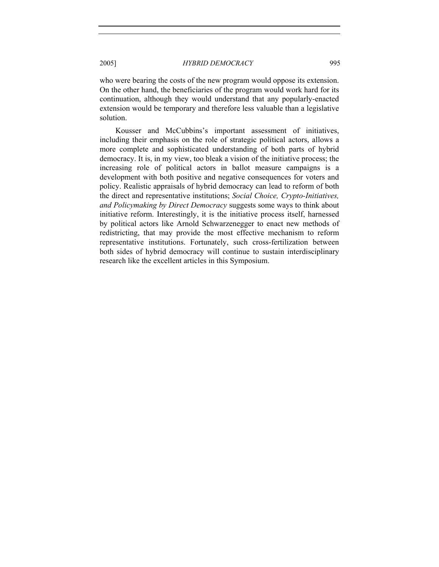who were bearing the costs of the new program would oppose its extension. On the other hand, the beneficiaries of the program would work hard for its continuation, although they would understand that any popularly-enacted extension would be temporary and therefore less valuable than a legislative solution.

Kousser and McCubbins's important assessment of initiatives, including their emphasis on the role of strategic political actors, allows a more complete and sophisticated understanding of both parts of hybrid democracy. It is, in my view, too bleak a vision of the initiative process; the increasing role of political actors in ballot measure campaigns is a development with both positive and negative consequences for voters and policy. Realistic appraisals of hybrid democracy can lead to reform of both the direct and representative institutions; *Social Choice, Crypto-Initiatives, and Policymaking by Direct Democracy* suggests some ways to think about initiative reform. Interestingly, it is the initiative process itself, harnessed by political actors like Arnold Schwarzenegger to enact new methods of redistricting, that may provide the most effective mechanism to reform representative institutions. Fortunately, such cross-fertilization between both sides of hybrid democracy will continue to sustain interdisciplinary research like the excellent articles in this Symposium.